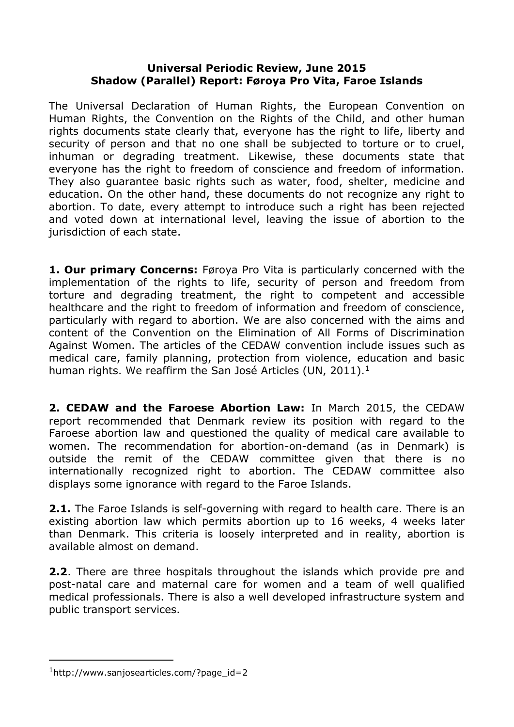## **Universal Periodic Review, June 2015 Shadow (Parallel) Report: Føroya Pro Vita, Faroe Islands**

The Universal Declaration of Human Rights, the European Convention on Human Rights, the Convention on the Rights of the Child, and other human rights documents state clearly that, everyone has the right to life, liberty and security of person and that no one shall be subjected to torture or to cruel, inhuman or degrading treatment. Likewise, these documents state that everyone has the right to freedom of conscience and freedom of information. They also guarantee basic rights such as water, food, shelter, medicine and education. On the other hand, these documents do not recognize any right to abortion. To date, every attempt to introduce such a right has been rejected and voted down at international level, leaving the issue of abortion to the jurisdiction of each state.

**1. Our primary Concerns:** Føroya Pro Vita is particularly concerned with the implementation of the rights to life, security of person and freedom from torture and degrading treatment, the right to competent and accessible healthcare and the right to freedom of information and freedom of conscience, particularly with regard to abortion. We are also concerned with the aims and content of the Convention on the Elimination of All Forms of Discrimination Against Women. The articles of the CEDAW convention include issues such as medical care, family planning, protection from violence, education and basic human rights. We reaffirm the San José Articles (UN, 2011).<sup>1</sup>

**2. CEDAW and the Faroese Abortion Law:** In March 2015, the CEDAW report recommended that Denmark review its position with regard to the Faroese abortion law and questioned the quality of medical care available to women. The recommendation for abortion-on-demand (as in Denmark) is outside the remit of the CEDAW committee given that there is no internationally recognized right to abortion. The CEDAW committee also displays some ignorance with regard to the Faroe Islands.

**2.1.** The Faroe Islands is self-governing with regard to health care. There is an existing abortion law which permits abortion up to 16 weeks, 4 weeks later than Denmark. This criteria is loosely interpreted and in reality, abortion is available almost on demand.

**2.2**. There are three hospitals throughout the islands which provide pre and post-natal care and maternal care for women and a team of well qualified medical professionals. There is also a well developed infrastructure system and public transport services.

<sup>1</sup>http://www.sanjosearticles.com/?page\_id=2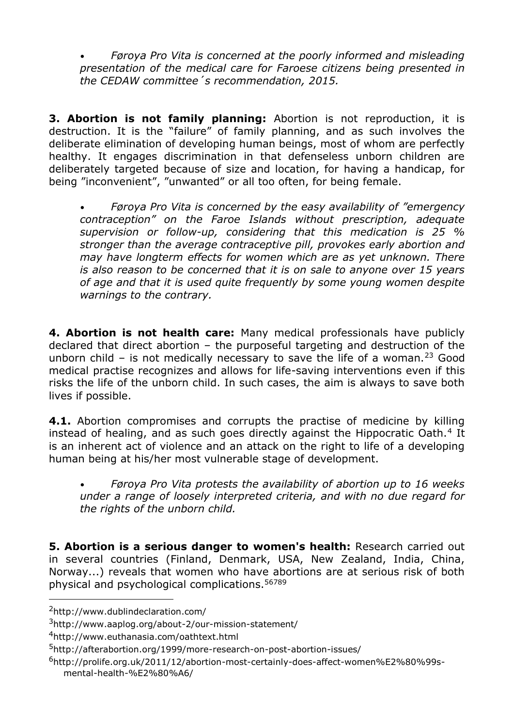• *Føroya Pro Vita is concerned at the poorly informed and misleading presentation of the medical care for Faroese citizens being presented in the CEDAW committee´s recommendation, 2015.*

**3. Abortion is not family planning:** Abortion is not reproduction, it is destruction. It is the "failure" of family planning, and as such involves the deliberate elimination of developing human beings, most of whom are perfectly healthy. It engages discrimination in that defenseless unborn children are deliberately targeted because of size and location, for having a handicap, for being "inconvenient", "unwanted" or all too often, for being female.

• *Føroya Pro Vita is concerned by the easy availability of "emergency contraception" on the Faroe Islands without prescription, adequate supervision or follow-up, considering that this medication is 25 % stronger than the average contraceptive pill, provokes early abortion and may have longterm effects for women which are as yet unknown. There is also reason to be concerned that it is on sale to anyone over 15 years of age and that it is used quite frequently by some young women despite warnings to the contrary.*

**4. Abortion is not health care:** Many medical professionals have publicly declared that direct abortion – the purposeful targeting and destruction of the unborn child – is not medically necessary to save the life of a woman.<sup>23</sup> Good medical practise recognizes and allows for life-saving interventions even if this risks the life of the unborn child. In such cases, the aim is always to save both lives if possible.

**4.1.** Abortion compromises and corrupts the practise of medicine by killing instead of healing, and as such goes directly against the Hippocratic Oath.<sup>4</sup> It is an inherent act of violence and an attack on the right to life of a developing human being at his/her most vulnerable stage of development.

• *Føroya Pro Vita protests the availability of abortion up to 16 weeks under a range of loosely interpreted criteria, and with no due regard for the rights of the unborn child.*

**5. Abortion is a serious danger to women's health:** Research carried out in several countries (Finland, Denmark, USA, New Zealand, India, China, Norway...) reveals that women who have abortions are at serious risk of both physical and psychological complications.<sup>56789</sup>

<sup>2</sup>http://www.dublindeclaration.com/

<sup>3</sup>http://www.aaplog.org/about-2/our-mission-statement/

<sup>4</sup>http://www.euthanasia.com/oathtext.html

<sup>5</sup>http://afterabortion.org/1999/more-research-on-post-abortion-issues/

<sup>6</sup>http://prolife.org.uk/2011/12/abortion-most-certainly-does-affect-women%E2%80%99smental-health-%E2%80%A6/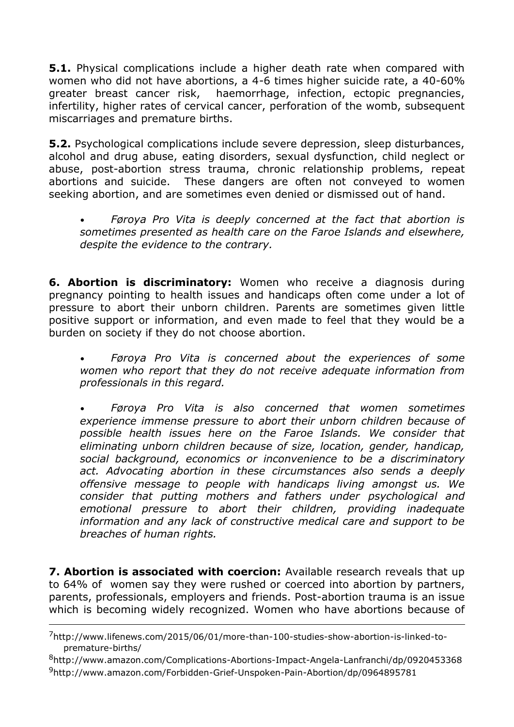**5.1.** Physical complications include a higher death rate when compared with women who did not have abortions, a 4-6 times higher suicide rate, a 40-60% greater breast cancer risk, haemorrhage, infection, ectopic pregnancies, infertility, higher rates of cervical cancer, perforation of the womb, subsequent miscarriages and premature births.

**5.2.** Psychological complications include severe depression, sleep disturbances, alcohol and drug abuse, eating disorders, sexual dysfunction, child neglect or abuse, post-abortion stress trauma, chronic relationship problems, repeat abortions and suicide. These dangers are often not conveyed to women seeking abortion, and are sometimes even denied or dismissed out of hand.

• *Føroya Pro Vita is deeply concerned at the fact that abortion is sometimes presented as health care on the Faroe Islands and elsewhere, despite the evidence to the contrary.*

**6. Abortion is discriminatory:** Women who receive a diagnosis during pregnancy pointing to health issues and handicaps often come under a lot of pressure to abort their unborn children. Parents are sometimes given little positive support or information, and even made to feel that they would be a burden on society if they do not choose abortion.

• *Føroya Pro Vita is concerned about the experiences of some women who report that they do not receive adequate information from professionals in this regard.*

• *Føroya Pro Vita is also concerned that women sometimes experience immense pressure to abort their unborn children because of possible health issues here on the Faroe Islands. We consider that eliminating unborn children because of size, location, gender, handicap, social background, economics or inconvenience to be a discriminatory act. Advocating abortion in these circumstances also sends a deeply offensive message to people with handicaps living amongst us. We consider that putting mothers and fathers under psychological and emotional pressure to abort their children, providing inadequate information and any lack of constructive medical care and support to be breaches of human rights.*

**7. Abortion is associated with coercion:** Available research reveals that up to 64% of women say they were rushed or coerced into abortion by partners, parents, professionals, employers and friends. Post-abortion trauma is an issue which is becoming widely recognized. Women who have abortions because of

<sup>7</sup>http://www.lifenews.com/2015/06/01/more-than-100-studies-show-abortion-is-linked-topremature-births/

<sup>8</sup>http://www.amazon.com/Complications-Abortions-Impact-Angela-Lanfranchi/dp/0920453368 <sup>9</sup>http://www.amazon.com/Forbidden-Grief-Unspoken-Pain-Abortion/dp/0964895781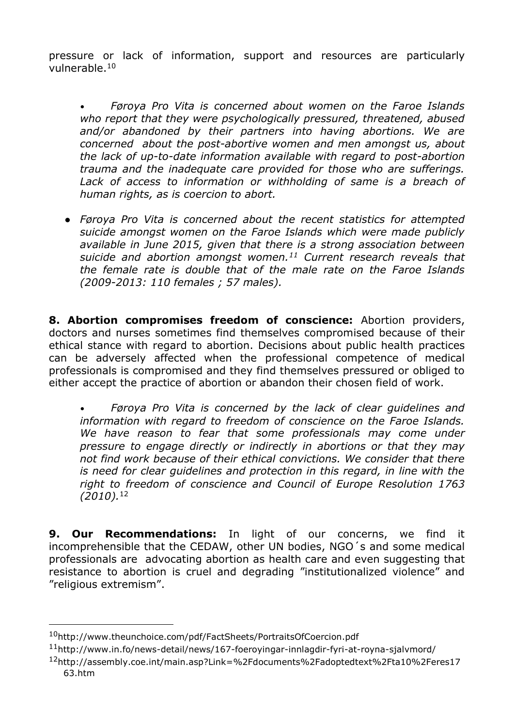pressure or lack of information, support and resources are particularly vulnerable.<sup>10</sup>

• *Føroya Pro Vita is concerned about women on the Faroe Islands who report that they were psychologically pressured, threatened, abused and/or abandoned by their partners into having abortions. We are concerned about the post-abortive women and men amongst us, about the lack of up-to-date information available with regard to post-abortion trauma and the inadequate care provided for those who are sufferings.*  Lack of access to information or withholding of same is a breach of *human rights, as is coercion to abort.*

● *Føroya Pro Vita is concerned about the recent statistics for attempted suicide amongst women on the Faroe Islands which were made publicly available in June 2015, given that there is a strong association between suicide and abortion amongst women.<sup>11</sup> Current research reveals that the female rate is double that of the male rate on the Faroe Islands (2009-2013: 110 females ; 57 males).*

**8. Abortion compromises freedom of conscience:** Abortion providers, doctors and nurses sometimes find themselves compromised because of their ethical stance with regard to abortion. Decisions about public health practices can be adversely affected when the professional competence of medical professionals is compromised and they find themselves pressured or obliged to either accept the practice of abortion or abandon their chosen field of work.

• *Føroya Pro Vita is concerned by the lack of clear guidelines and information with regard to freedom of conscience on the Faroe Islands. We have reason to fear that some professionals may come under pressure to engage directly or indirectly in abortions or that they may not find work because of their ethical convictions. We consider that there is need for clear guidelines and protection in this regard, in line with the right to freedom of conscience and Council of Europe Resolution 1763 (2010).*<sup>12</sup>

**9. Our Recommendations:** In light of our concerns, we find it incomprehensible that the CEDAW, other UN bodies, NGO´s and some medical professionals are advocating abortion as health care and even suggesting that resistance to abortion is cruel and degrading "institutionalized violence" and "religious extremism".

<sup>10</sup>http://www.theunchoice.com/pdf/FactSheets/PortraitsOfCoercion.pdf

<sup>11</sup>http://www.in.fo/news-detail/news/167-foeroyingar-innlagdir-fyri-at-royna-sjalvmord/

<sup>12</sup>http://assembly.coe.int/main.asp?Link=%2Fdocuments%2Fadoptedtext%2Fta10%2Feres17 63.htm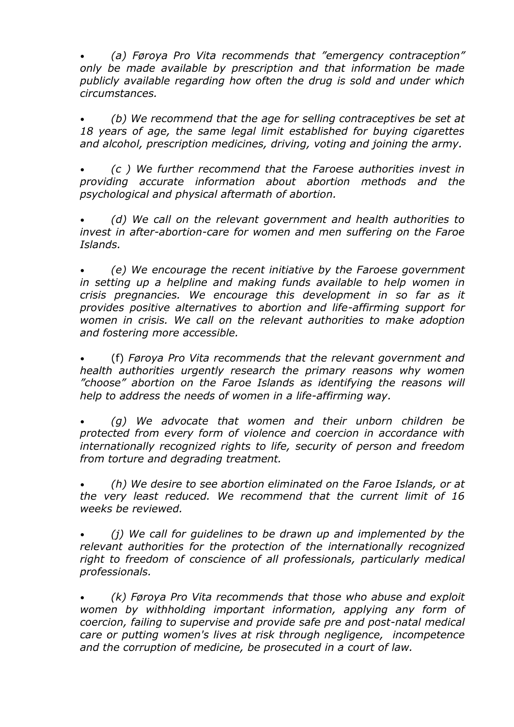• *(a) Føroya Pro Vita recommends that "emergency contraception" only be made available by prescription and that information be made publicly available regarding how often the drug is sold and under which circumstances.*

• *(b) We recommend that the age for selling contraceptives be set at 18 years of age, the same legal limit established for buying cigarettes and alcohol, prescription medicines, driving, voting and joining the army.*

• *(c ) We further recommend that the Faroese authorities invest in providing accurate information about abortion methods and the psychological and physical aftermath of abortion.* 

• *(d) We call on the relevant government and health authorities to invest in after-abortion-care for women and men suffering on the Faroe Islands.*

• *(e) We encourage the recent initiative by the Faroese government in setting up a helpline and making funds available to help women in crisis pregnancies. We encourage this development in so far as it provides positive alternatives to abortion and life-affirming support for women in crisis. We call on the relevant authorities to make adoption and fostering more accessible.*

• (f) *Føroya Pro Vita recommends that the relevant government and health authorities urgently research the primary reasons why women "choose" abortion on the Faroe Islands as identifying the reasons will help to address the needs of women in a life-affirming way.*

• *(g) We advocate that women and their unborn children be protected from every form of violence and coercion in accordance with internationally recognized rights to life, security of person and freedom from torture and degrading treatment.*

• *(h) We desire to see abortion eliminated on the Faroe Islands, or at the very least reduced. We recommend that the current limit of 16 weeks be reviewed.*

• *(j) We call for guidelines to be drawn up and implemented by the relevant authorities for the protection of the internationally recognized right to freedom of conscience of all professionals, particularly medical professionals.* 

• *(k) Føroya Pro Vita recommends that those who abuse and exploit women by withholding important information, applying any form of coercion, failing to supervise and provide safe pre and post-natal medical care or putting women's lives at risk through negligence, incompetence and the corruption of medicine, be prosecuted in a court of law.*